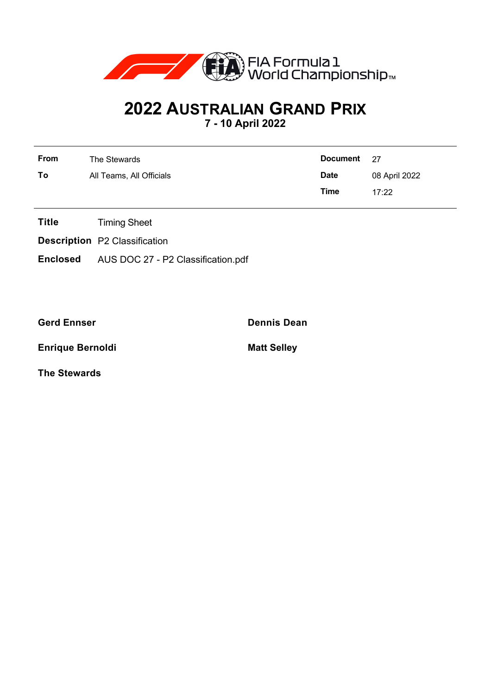

## **2022 AUSTRALIAN GRAND PRIX**

**7 - 10 April 2022**

| From | The Stewards             | Document 27 |               |
|------|--------------------------|-------------|---------------|
| To   | All Teams, All Officials | <b>Date</b> | 08 April 2022 |
|      |                          | Time        | 17.22         |

- **Title** Timing Sheet
- **Description** P2 Classification
- **Enclosed** AUS DOC 27 P2 Classification.pdf

**Gerd Ennser Dennis Dean**

**Enrique Bernoldi Matt Selley** 

**The Stewards**